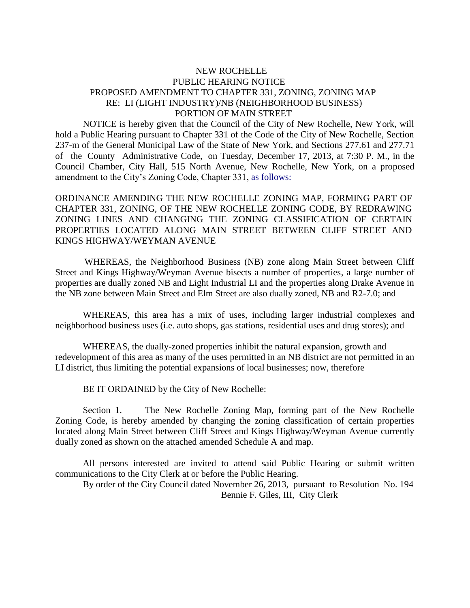## NEW ROCHELLE PUBLIC HEARING NOTICE PROPOSED AMENDMENT TO CHAPTER 331, ZONING, ZONING MAP RE: LI (LIGHT INDUSTRY)/NB (NEIGHBORHOOD BUSINESS) PORTION OF MAIN STREET

NOTICE is hereby given that the Council of the City of New Rochelle, New York, will hold a Public Hearing pursuant to Chapter 331 of the Code of the City of New Rochelle, Section 237-m of the General Municipal Law of the State of New York, and Sections 277.61 and 277.71 of the County Administrative Code, on Tuesday, December 17, 2013, at 7:30 P. M., in the Council Chamber, City Hall, 515 North Avenue, New Rochelle, New York, on a proposed amendment to the City's Zoning Code, Chapter 331, as follows:

ORDINANCE AMENDING THE NEW ROCHELLE ZONING MAP, FORMING PART OF CHAPTER 331, ZONING, OF THE NEW ROCHELLE ZONING CODE, BY REDRAWING ZONING LINES AND CHANGING THE ZONING CLASSIFICATION OF CERTAIN PROPERTIES LOCATED ALONG MAIN STREET BETWEEN CLIFF STREET AND KINGS HIGHWAY/WEYMAN AVENUE

 WHEREAS, the Neighborhood Business (NB) zone along Main Street between Cliff Street and Kings Highway/Weyman Avenue bisects a number of properties, a large number of properties are dually zoned NB and Light Industrial LI and the properties along Drake Avenue in the NB zone between Main Street and Elm Street are also dually zoned, NB and R2-7.0; and

WHEREAS, this area has a mix of uses, including larger industrial complexes and neighborhood business uses (i.e. auto shops, gas stations, residential uses and drug stores); and

WHEREAS, the dually-zoned properties inhibit the natural expansion, growth and redevelopment of this area as many of the uses permitted in an NB district are not permitted in an LI district, thus limiting the potential expansions of local businesses; now, therefore

BE IT ORDAINED by the City of New Rochelle:

Section 1. The New Rochelle Zoning Map, forming part of the New Rochelle Zoning Code, is hereby amended by changing the zoning classification of certain properties located along Main Street between Cliff Street and Kings Highway/Weyman Avenue currently dually zoned as shown on the attached amended Schedule A and map.

All persons interested are invited to attend said Public Hearing or submit written communications to the City Clerk at or before the Public Hearing.

 By order of the City Council dated November 26, 2013, pursuant to Resolution No. 194 Bennie F. Giles, III, City Clerk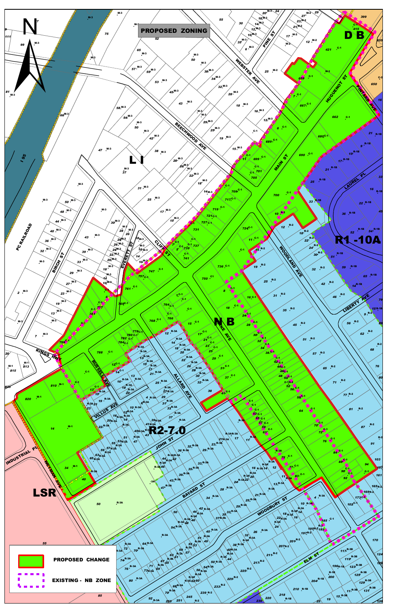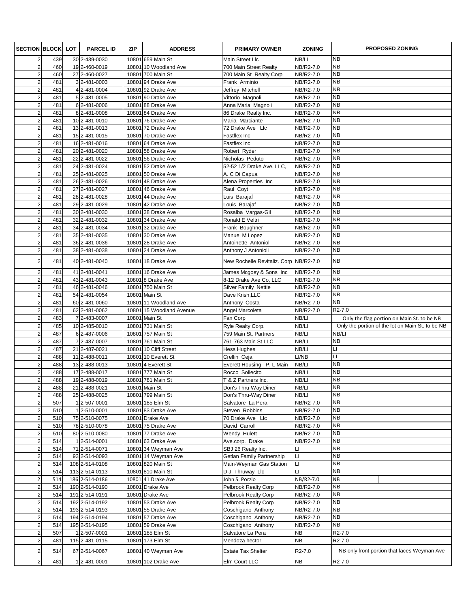| <b>SECTION BLOCK</b>                      |            | LOT | <b>PARCEL ID</b>               | ZIP   | <b>ADDRESS</b>                            | <b>PRIMARY OWNER</b>                            | <b>ZONING</b>          | <b>PROPOSED ZONING</b>                           |
|-------------------------------------------|------------|-----|--------------------------------|-------|-------------------------------------------|-------------------------------------------------|------------------------|--------------------------------------------------|
| $\overline{2}$                            | 439        |     | 30 2-439-0030                  |       | 10801 659 Main St                         | Main Street Llc                                 | NB/LI                  | <b>NB</b>                                        |
| $\overline{2}$                            | 460        |     | 19 2-460-0019                  |       | 10801 10 Woodland Ave                     | 700 Main Street Realty                          | NB/R2-7.0              | <b>NB</b>                                        |
| $\overline{a}$                            | 460        |     | 27 2-460-0027                  |       | 10801 700 Main St                         | 700 Main St Realty Corp                         | NB/R2-7.0              | <b>NB</b>                                        |
| $\overline{a}$                            | 481        |     | $3$ 2-481-0003                 |       | 10801 94 Drake Ave                        | Frank Arminio                                   | NB/R2-7.0              | <b>NB</b><br><b>NB</b>                           |
| $\overline{c}$                            | 481        |     | 4 2-481-0004                   |       | 10801 92 Drake Ave                        | Jeffrey Mitchell                                | NB/R2-7.0              | <b>NB</b>                                        |
| $\overline{\mathbf{c}}$<br>$\overline{a}$ | 481<br>481 |     | 5 2-481-0005<br>6 2-481-0006   |       | 10801 90 Drake Ave<br>10801 88 Drake Ave  | Vittorio Magnoli<br>Anna Maria Magnoli          | NB/R2-7.0<br>NB/R2-7.0 | <b>NB</b>                                        |
| $\overline{c}$                            | 481        |     | 8 2-481-0008                   |       | 10801 84 Drake Ave                        | 86 Drake Realty Inc.                            | NB/R2-7.0              | <b>NB</b>                                        |
| $\overline{a}$                            | 481        |     | 10 2-481-0010                  |       | 10801 76 Drake Ave                        | Maria Marciante                                 | NB/R2-7.0              | <b>NB</b>                                        |
| $\overline{a}$                            | 481        |     | 13 2-481-0013                  |       | 10801 72 Drake Ave                        | 72 Drake Ave Llc                                | NB/R2-7.0              | <b>NB</b>                                        |
| $\overline{a}$                            | 481        |     | 15 2-481-0015                  |       | 10801 70 Drake Ave                        | Fastflex Inc                                    | NB/R2-7.0              | <b>NB</b>                                        |
| $\overline{c}$                            | 481        |     | 16 2-481-0016                  |       | 10801 64 Drake Ave                        | Fastflex Inc                                    | NB/R2-7.0              | <b>NB</b>                                        |
| $\overline{c}$                            | 481        |     | 20 2-481-0020                  |       | 10801 58 Drake Ave                        | Robert Ryder                                    | NB/R2-7.0              | <b>NB</b>                                        |
| $\overline{a}$                            | 481        |     | 22 2-481-0022                  |       | 10801 56 Drake Ave                        | Nicholas Peduto                                 | NB/R2-7.0              | <b>NB</b>                                        |
| $\overline{c}$                            | 481        |     | 24 2-481-0024                  |       | 10801 52 Drake Ave                        | 52-52 1/2 Drake Ave. LLC,                       | NB/R2-7.0              | <b>NB</b>                                        |
| $\mathbf 2$                               | 481        |     | 25 2-481-0025                  |       | 10801 50 Drake Ave                        | A. C Di Capua                                   | NB/R2-7.0              | <b>NB</b>                                        |
| $\overline{a}$                            | 481        |     | 26 2-481-0026                  |       | 10801 48 Drake Ave                        | Alena Properties Inc                            | NB/R2-7.0              | <b>NB</b>                                        |
| $\overline{c}$                            | 481        |     | 27 2-481-0027                  |       | 10801 46 Drake Ave                        | Raul Coyt                                       | NB/R2-7.0              | <b>NB</b>                                        |
| $\overline{a}$                            | 481        |     | 28 2-481-0028                  |       | 10801 44 Drake Ave                        | Luis Barajaf                                    | NB/R2-7.0              | <b>NB</b>                                        |
| $\overline{a}$                            | 481        |     | 29 2-481-0029                  |       | 10801 42 Drake Ave                        | Louis Barajaf                                   | NB/R2-7.0              | <b>NB</b>                                        |
| $\overline{c}$                            | 481        |     | 30 2-481-0030                  |       | 10801 38 Drake Ave                        | Rosalba Vargas-Gil                              | NB/R2-7.0              | <b>NB</b>                                        |
| $\overline{a}$                            | 481        |     | 32 2-481-0032                  |       | 10801 34 Drake Ave                        | Ronald E Veltri                                 | NB/R2-7.0              | <b>NB</b>                                        |
| $\overline{a}$                            | 481        |     | 34 2-481-0034                  |       | 10801 32 Drake Ave                        | Frank Boughner                                  | NB/R2-7.0              | <b>NB</b>                                        |
| $\overline{c}$                            | 481        |     | 35 2-481-0035                  |       | 10801 30 Drake Ave                        | Manuel M Lopez                                  | NB/R2-7.0              | <b>NB</b>                                        |
| $\overline{a}$                            | 481        |     | 36 2-481-0036                  |       | 10801 28 Drake Ave                        | Antoinette Antonioli                            | NB/R2-7.0              | <b>NB</b>                                        |
| $\overline{2}$                            | 481        |     | 38 2-481-0038                  |       | 10801 24 Drake Ave                        | Anthony J Antonioli                             | NB/R2-7.0              | <b>NB</b>                                        |
| $\overline{2}$                            | 481        |     | 40 2-481-0040                  |       | 10801 18 Drake Ave                        | New Rochelle Revitaliz. Corp NB/R2-7.0          |                        | <b>NB</b>                                        |
| $\overline{a}$                            | 481        |     | 41 2-481-0041                  |       | 10801 16 Drake Ave                        | James Mcgoey & Sons Inc                         | NB/R2-7.0              | <b>NB</b>                                        |
| $\overline{a}$                            | 481        |     | 43 2-481-0043                  |       | 10801 8 Drake Ave                         | 8-12 Drake Ave Co, LLC                          | NB/R2-7.0              | <b>NB</b>                                        |
| $\overline{a}$                            | 481        |     | 46 2-481-0046                  |       | 10801 750 Main St                         | Silver Family Nettie                            | NB/R2-7.0              | <b>NB</b>                                        |
| $\overline{\mathbf{c}}$                   | 481        |     | 54 2-481-0054                  |       | 10801 Main St                             | Dave Krish, LLC                                 | NB/R2-7.0              | <b>NB</b>                                        |
| $\overline{a}$<br>$\overline{a}$          | 481<br>481 |     | 60 2-481-0060                  |       | 10801 11 Woodland Ave                     | Anthony Costa                                   | NB/R2-7.0              | <b>NB</b><br>R2-7.0                              |
| $\overline{2}$                            | 483        |     | 62 2-481-0062                  | 10801 | 15 Woodland Avenue<br>10801 Main St       | Angel Marcoleta<br>Fan Corp                     | NB/R2-7.0<br>NB/LI     | Only the flag portion on Main St. to be NB       |
| $\overline{a}$                            | 485        |     | 7 2-483-0007<br>10 2-485-0010  | 10801 | 731 Main St                               | Ryle Realty Corp.                               | NB/LI                  | Only the portion of the lot on Main St. to be NB |
| $\overline{c}$                            | 487        |     | 6 2-487-0006                   |       | 10801 757 Main St                         | 759 Main St. Partners                           | NB/LI                  | NB/LI                                            |
| $\mathbf 2$                               | 487        |     | 7 2-487-0007                   |       | 10801 761 Main St                         | 761-763 Main St LLC                             | NB/LI                  | <b>NB</b>                                        |
| $\overline{a}$                            | 487        |     | 21 2-487-0021                  |       | 10801 10 Cliff Street                     | Hess Hughes                                     | NB/LI                  | П                                                |
| $\overline{c}$                            | 488        |     | 11 2-488-0011                  |       | 10801 10 Everett St                       | Crellin Ceja                                    | LI/NB                  | LI                                               |
| $\overline{\mathbf{c}}$                   | 488        |     | 13 2-488-0013                  |       | 10801 4 Everett St                        | Everett Housing P. L Main                       | NB/LI                  | <b>NB</b>                                        |
| $\overline{a}$                            | 488        |     | 17 2-488-0017                  |       | 10801 777 Main St                         | Rocco Sollecito                                 | NB/LI                  | NΒ                                               |
| $\overline{2}$                            | 488        |     | 19 2-488-0019                  |       | 10801 781 Main St                         | T & Z Partners Inc.                             | NB/LI                  | <b>NB</b>                                        |
| $\mathbf{2}$                              | 488        |     | 21 2-488-0021                  |       | 10801 Main St                             | Don's Thru-Way Diner                            | NB/LI                  | <b>NB</b>                                        |
| $\overline{a}$                            | 488        |     | 25 2-488-0025                  |       | 10801 799 Main St                         | Don's Thru-Way Diner                            | NB/LI                  | <b>NB</b>                                        |
| $\overline{\mathbf{c}}$                   | 507        |     | 1 2-507-0001                   |       | 10801 185 Elm St                          | Salvatore La Pera                               | NB/R2-7.0              | <b>NB</b>                                        |
| $\overline{c}$                            | 510        |     | 1 2-510-0001                   |       | 10801 83 Drake Ave                        | Steven Robbins                                  | NB/R2-7.0              | <b>NB</b>                                        |
| $\mathbf{2}$                              | 510        |     | 75 2-510-0075                  |       | 10801 Drake Ave                           | 70 Drake Ave Llc                                | NB/R2-7.0              | <b>NB</b>                                        |
| $\overline{c}$                            | 510        |     | 78 2-510-0078                  |       | 10801 75 Drake Ave                        | David Carroll                                   | NB/R2-7.0              | <b>NB</b>                                        |
| $\overline{2}$                            | 510        |     | 80 2-510-0080                  |       | 10801 77 Drake Ave                        | Wendy Hulett                                    | NB/R2-7.0              | <b>NB</b><br><b>NB</b>                           |
| $\mathbf{2}$                              | 514        |     | 1 2-514-0001                   |       | 10801 63 Drake Ave<br>10801 34 Weyman Ave | Ave.corp. Drake                                 | NB/R2-7.0<br>LI        | <b>NB</b>                                        |
| $\overline{\mathbf{c}}$<br>$\overline{c}$ | 514<br>514 |     | 71 2-514-0071<br>93 2-514-0093 |       | 10801 14 Weyman Ave                       | SBJ 26 Realty Inc.<br>Getlan Family Partnership | LI                     | <b>NB</b>                                        |
| $\overline{\mathbf{c}}$                   | 514        |     | 108 2-514-0108                 |       | 10801 820 Main St                         | Main-Weyman Gas Station                         | $\sqcup$               | NΒ                                               |
| $\overline{2}$                            | 514        |     | 113 2-514-0113                 |       | 10801 810 Main St                         | D J Thruway Llc                                 | П                      | <b>NB</b>                                        |
| $\mathbf 2$                               | 514        |     | 186 2-514-0186                 |       | 10801 41 Drake Ave                        | John S. Porzio                                  | NB/R2-7.0              | <b>NB</b>                                        |
| $\mathbf 2$                               | 514        |     | 190 2-514-0190                 |       | 10801 Drake Ave                           | Pelbrook Realty Corp                            | NB/R2-7.0              | <b>NB</b>                                        |
| $\overline{2}$                            | 514        |     | 191 2-514-0191                 |       | 10801 Drake Ave                           | Pelbrook Realty Corp                            | NB/R2-7.0              | <b>NB</b>                                        |
| $\mathbf{2}$                              | 514        |     | 192 2-514-0192                 |       | 10801 53 Drake Ave                        | Pelbrook Realty Corp                            | NB/R2-7.0              | <b>NB</b>                                        |
| $\mathbf 2$                               | 514        |     | 193 2-514-0193                 |       | 10801 55 Drake Ave                        | Coschigano Anthony                              | NB/R2-7.0              | <b>NB</b>                                        |
| $\mathbf{2}$                              | 514        |     | 194 2-514-0194                 |       | 10801 57 Drake Ave                        | Coschigano Anthony                              | NB/R2-7.0              | <b>NB</b>                                        |
| $\mathbf{2}$                              | 514        |     | 195 2-514-0195                 |       | 10801 59 Drake Ave                        | Coschigano Anthony                              | NB/R2-7.0              | <b>NB</b>                                        |
| $\mathbf 2$                               | 507        |     | 1 2-507-0001                   |       | 10801 185 Elm St                          | Salvatore La Pera                               | <b>NB</b>              | R2-7.0                                           |
| $\mathbf{2}$                              | 481        |     | 115 2-481-0115                 |       | 10801 173 Elm St                          | Mendoza hector                                  | <b>NB</b>              | R2-7.0                                           |
| $\overline{2}$                            | 514        |     | 67 2-514-0067                  |       | 10801 40 Weyman Ave                       | <b>Estate Tax Shelter</b>                       | R2-7.0                 | NB only front portion that faces Weyman Ave      |
| $\overline{c}$                            | 481        |     | 1 2-481-0001                   |       | 10801 102 Drake Ave                       | Elm Court LLC                                   | <b>NB</b>              | R2-7.0                                           |